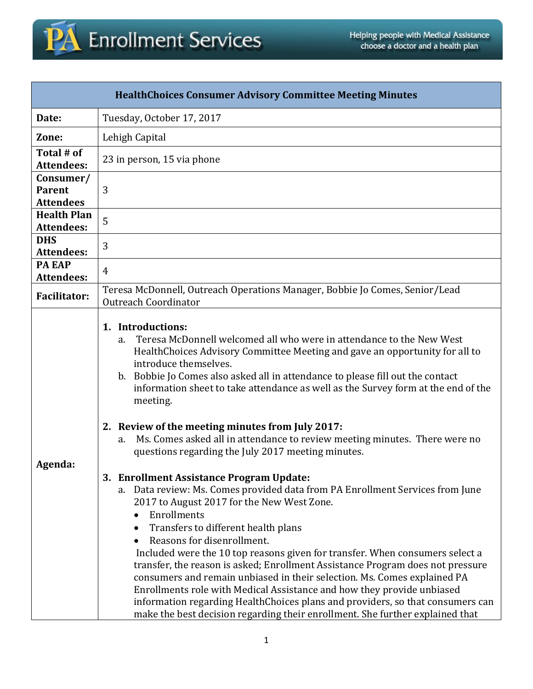

| <b>HealthChoices Consumer Advisory Committee Meeting Minutes</b> |                                                                                                                                                                                                                                                                                                                                                                                                                                                                                                                                                                                                                                                                                                                                                                                                                                                                                                                                                                   |  |  |  |
|------------------------------------------------------------------|-------------------------------------------------------------------------------------------------------------------------------------------------------------------------------------------------------------------------------------------------------------------------------------------------------------------------------------------------------------------------------------------------------------------------------------------------------------------------------------------------------------------------------------------------------------------------------------------------------------------------------------------------------------------------------------------------------------------------------------------------------------------------------------------------------------------------------------------------------------------------------------------------------------------------------------------------------------------|--|--|--|
| Date:                                                            | Tuesday, October 17, 2017                                                                                                                                                                                                                                                                                                                                                                                                                                                                                                                                                                                                                                                                                                                                                                                                                                                                                                                                         |  |  |  |
| Zone:                                                            | Lehigh Capital                                                                                                                                                                                                                                                                                                                                                                                                                                                                                                                                                                                                                                                                                                                                                                                                                                                                                                                                                    |  |  |  |
| Total # of<br><b>Attendees:</b>                                  | 23 in person, 15 via phone                                                                                                                                                                                                                                                                                                                                                                                                                                                                                                                                                                                                                                                                                                                                                                                                                                                                                                                                        |  |  |  |
| Consumer/<br><b>Parent</b><br><b>Attendees</b>                   | 3                                                                                                                                                                                                                                                                                                                                                                                                                                                                                                                                                                                                                                                                                                                                                                                                                                                                                                                                                                 |  |  |  |
| <b>Health Plan</b><br><b>Attendees:</b>                          | 5                                                                                                                                                                                                                                                                                                                                                                                                                                                                                                                                                                                                                                                                                                                                                                                                                                                                                                                                                                 |  |  |  |
| <b>DHS</b><br><b>Attendees:</b>                                  | 3                                                                                                                                                                                                                                                                                                                                                                                                                                                                                                                                                                                                                                                                                                                                                                                                                                                                                                                                                                 |  |  |  |
| <b>PA EAP</b><br><b>Attendees:</b>                               | $\overline{4}$                                                                                                                                                                                                                                                                                                                                                                                                                                                                                                                                                                                                                                                                                                                                                                                                                                                                                                                                                    |  |  |  |
| <b>Facilitator:</b>                                              | Teresa McDonnell, Outreach Operations Manager, Bobbie Jo Comes, Senior/Lead<br><b>Outreach Coordinator</b>                                                                                                                                                                                                                                                                                                                                                                                                                                                                                                                                                                                                                                                                                                                                                                                                                                                        |  |  |  |
|                                                                  | 1. Introductions:<br>Teresa McDonnell welcomed all who were in attendance to the New West<br>a.<br>HealthChoices Advisory Committee Meeting and gave an opportunity for all to<br>introduce themselves.<br>b. Bobbie Jo Comes also asked all in attendance to please fill out the contact<br>information sheet to take attendance as well as the Survey form at the end of the<br>meeting.                                                                                                                                                                                                                                                                                                                                                                                                                                                                                                                                                                        |  |  |  |
| Agenda:                                                          | 2. Review of the meeting minutes from July 2017:<br>Ms. Comes asked all in attendance to review meeting minutes. There were no<br>a.<br>questions regarding the July 2017 meeting minutes.<br>3. Enrollment Assistance Program Update:<br>a. Data review: Ms. Comes provided data from PA Enrollment Services from June<br>2017 to August 2017 for the New West Zone.<br>Enrollments<br>$\bullet$<br>Transfers to different health plans<br>Reasons for disenrollment.<br>Included were the 10 top reasons given for transfer. When consumers select a<br>transfer, the reason is asked; Enrollment Assistance Program does not pressure<br>consumers and remain unbiased in their selection. Ms. Comes explained PA<br>Enrollments role with Medical Assistance and how they provide unbiased<br>information regarding HealthChoices plans and providers, so that consumers can<br>make the best decision regarding their enrollment. She further explained that |  |  |  |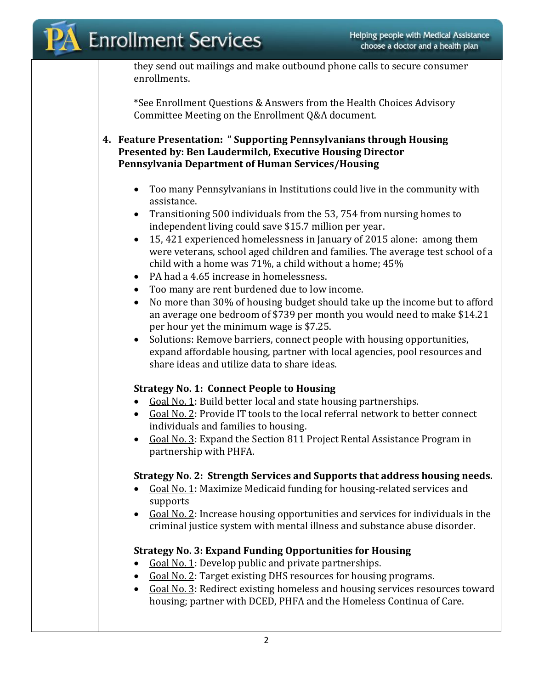they send out mailings and make outbound phone calls to secure consumer enrollments.

\*See Enrollment Questions & Answers from the Health Choices Advisory Committee Meeting on the Enrollment Q&A document.

**4. Feature Presentation: " Supporting Pennsylvanians through Housing Presented by: Ben Laudermilch, Executive Housing Director Pennsylvania Department of Human Services/Housing**

- Too many Pennsylvanians in Institutions could live in the community with assistance.
- Transitioning 500 individuals from the 53, 754 from nursing homes to independent living could save \$15.7 million per year.
- 15, 421 experienced homelessness in January of 2015 alone: among them were veterans, school aged children and families. The average test school of a child with a home was 71%, a child without a home; 45%
- PA had a 4.65 increase in homelessness.
- Too many are rent burdened due to low income.
- No more than 30% of housing budget should take up the income but to afford an average one bedroom of \$739 per month you would need to make \$14.21 per hour yet the minimum wage is \$7.25.
- Solutions: Remove barriers, connect people with housing opportunities, expand affordable housing, partner with local agencies, pool resources and share ideas and utilize data to share ideas.

## **Strategy No. 1: Connect People to Housing**

- Goal No. 1: Build better local and state housing partnerships.
- Goal No. 2: Provide IT tools to the local referral network to better connect individuals and families to housing.
- Goal No. 3: Expand the Section 811 Project Rental Assistance Program in partnership with PHFA.

## **Strategy No. 2: Strength Services and Supports that address housing needs.**

- Goal No. 1: Maximize Medicaid funding for housing-related services and supports
- Goal No. 2: Increase housing opportunities and services for individuals in the criminal justice system with mental illness and substance abuse disorder.

## **Strategy No. 3: Expand Funding Opportunities for Housing**

- Goal No. 1: Develop public and private partnerships.
- Goal No. 2: Target existing DHS resources for housing programs.
- Goal No. 3: Redirect existing homeless and housing services resources toward housing; partner with DCED, PHFA and the Homeless Continua of Care.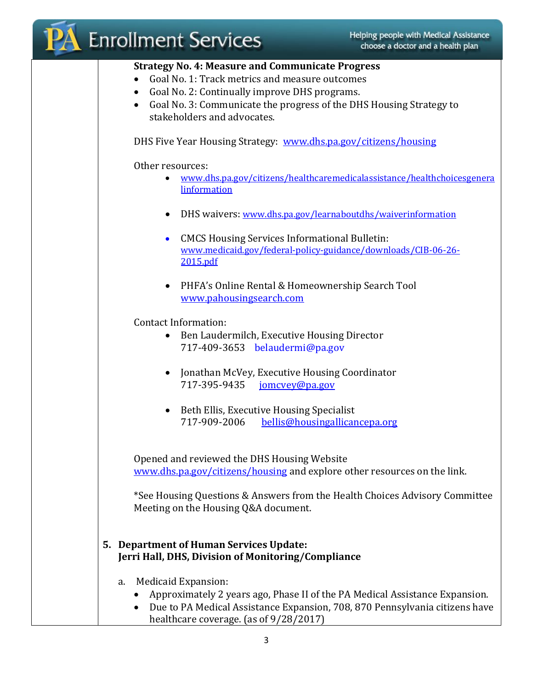| Helping people with Medical Assistance<br><b>Enrollment Services</b><br>choose a doctor and a health plan                                                                                                                                                                                  |
|--------------------------------------------------------------------------------------------------------------------------------------------------------------------------------------------------------------------------------------------------------------------------------------------|
| <b>Strategy No. 4: Measure and Communicate Progress</b><br>Goal No. 1: Track metrics and measure outcomes<br>Goal No. 2: Continually improve DHS programs.<br>$\bullet$<br>Goal No. 3: Communicate the progress of the DHS Housing Strategy to<br>$\bullet$<br>stakeholders and advocates. |
| DHS Five Year Housing Strategy: www.dhs.pa.gov/citizens/housing                                                                                                                                                                                                                            |
| Other resources:<br>www.dhs.pa.gov/citizens/healthcaremedicalassistance/healthchoicesgenera<br>$\bullet$<br>linformation                                                                                                                                                                   |
| DHS waivers: www.dhs.pa.gov/learnaboutdhs/waiverinformation                                                                                                                                                                                                                                |
| <b>CMCS Housing Services Informational Bulletin:</b><br>$\bullet$<br>www.medicaid.gov/federal-policy-guidance/downloads/CIB-06-26-<br>2015.pdf                                                                                                                                             |
| PHFA's Online Rental & Homeownership Search Tool<br>$\bullet$<br>www.pahousingsearch.com                                                                                                                                                                                                   |
| <b>Contact Information:</b><br>Ben Laudermilch, Executive Housing Director<br>$\bullet$<br>717-409-3653 belaudermi@pa.gov                                                                                                                                                                  |
| Jonathan McVey, Executive Housing Coordinator<br>$\bullet$<br>717-395-9435<br>jomcvey@pa.gov                                                                                                                                                                                               |
| • Beth Ellis, Executive Housing Specialist<br>717-909-2006<br>bellis@housingallicancepa.org                                                                                                                                                                                                |
| Opened and reviewed the DHS Housing Website<br>www.dhs.pa.gov/citizens/housing and explore other resources on the link.                                                                                                                                                                    |
| *See Housing Questions & Answers from the Health Choices Advisory Committee<br>Meeting on the Housing Q&A document.                                                                                                                                                                        |
| 5. Department of Human Services Update:<br>Jerri Hall, DHS, Division of Monitoring/Compliance                                                                                                                                                                                              |
| Medicaid Expansion:<br>a.                                                                                                                                                                                                                                                                  |
| Approximately 2 years ago, Phase II of the PA Medical Assistance Expansion.<br>Due to PA Medical Assistance Expansion, 708, 870 Pennsylvania citizens have<br>healthcare coverage. (as of 9/28/2017)                                                                                       |